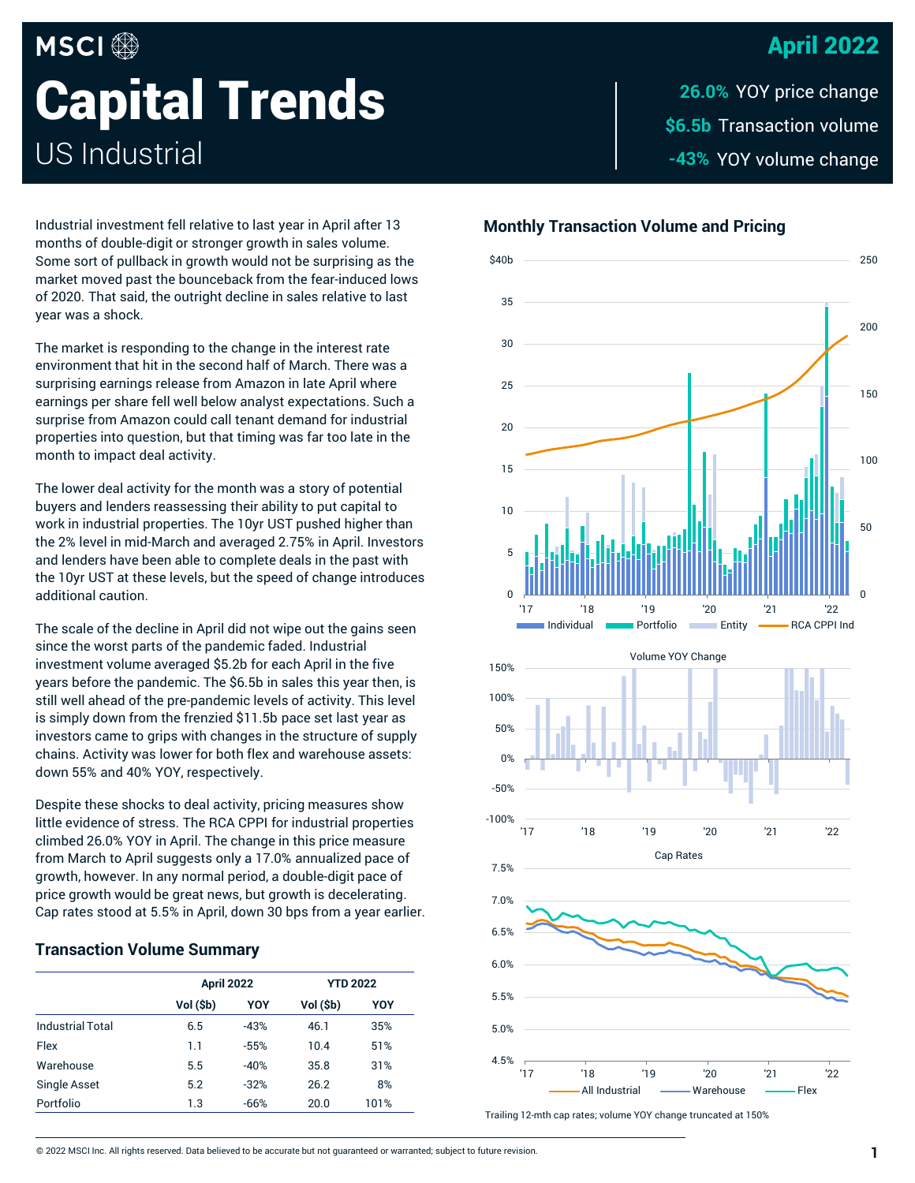## April 2022

# **MSCI Capital Trends** US Industrial

\$6.5b Transaction volume -43% YOY volume change **26.0%**

**Monthly Transaction Volume and Pricing**

0 5 10 15 20 25 30 35 \$40b '17 '18 '19 '20 '21 '22 Individual Portfolio Entity RCA CPPI Ind -100% -50% 0% 50% 100% 150% '17 '18 '19 '20 '21 '22 Volume YOY Change 5.5% 6.0% 6.5% 7.0% 7.5% Cap Rates



Trailing 12-mth cap rates; volume YOY change truncated at 150%

Industrial investment fell relative to last year in April after 13 months of double-digit or stronger growth in sales volume. Some sort of pullback in growth would not be surprising as the market moved past the bounceback from the fear-induced lows of 2020. That said, the outright decline in sales relative to last year was a shock.

The market is responding to the change in the interest rate environment that hit in the second half of March. There was a surprising earnings release from Amazon in late April where earnings per share fell well below analyst expectations. Such a surprise from Amazon could call tenant demand for industrial properties into question, but that timing was far too late in the month to impact deal activity.

The lower deal activity for the month was a story of potential buyers and lenders reassessing their ability to put capital to work in industrial properties. The 10yr UST pushed higher than the 2% level in mid-March and averaged 2.75% in April. Investors and lenders have been able to complete deals in the past with the 10yr UST at these levels, but the speed of change introduces additional caution.

The scale of the decline in April did not wipe out the gains seen since the worst parts of the pandemic faded. Industrial investment volume averaged \$5.2b for each April in the five years before the pandemic. The \$6.5b in sales this year then, is still well ahead of the pre-pandemic levels of activity. This level is simply down from the frenzied \$11.5b pace set last year as investors came to grips with changes in the structure of supply chains. Activity was lower for both flex and warehouse assets: down 55% and 40% YOY, respectively.

Despite these shocks to deal activity, pricing measures show little evidence of stress. The RCA CPPI for industrial properties climbed 26.0% YOY in April. The change in this price measure from March to April suggests only a 17.0% annualized pace of growth, however. In any normal period, a double-digit pace of price growth would be great news, but growth is decelerating. Cap rates stood at 5.5% in April, down 30 bps from a year earlier.

#### **Transaction Volume Summary**

|                         | <b>April 2022</b> |        | <b>YTD 2022</b> |      |
|-------------------------|-------------------|--------|-----------------|------|
|                         | Vol (\$b)         | YOY    | Vol (\$b)       | YOY  |
| <b>Industrial Total</b> | 6.5               | $-43%$ | 46.1            | 35%  |
| Flex                    | 1.1               | $-55%$ | 10.4            | 51%  |
| Warehouse               | 5.5               | $-40%$ | 35.8            | 31%  |
| <b>Single Asset</b>     | 5.2               | $-32%$ | 26.2            | 8%   |
| Portfolio               | 1.3               | $-66%$ | 20.0            | 101% |
|                         |                   |        |                 |      |

0

50

100

150

 $200$ 

250